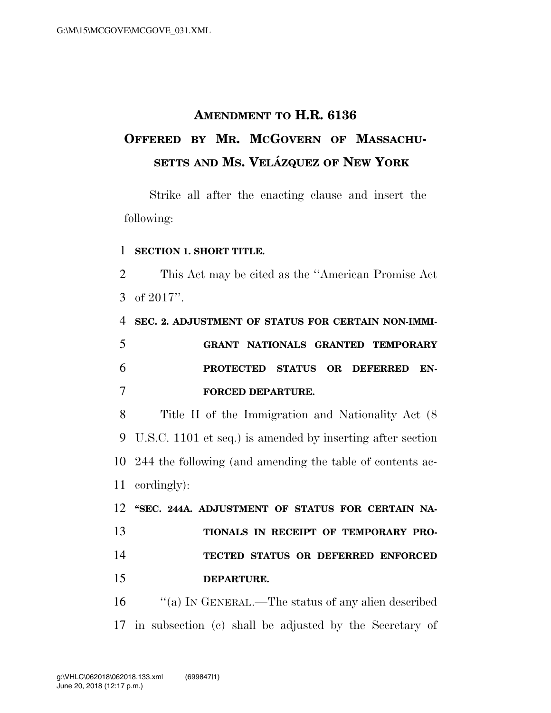## **AMENDMENT TO H.R. 6136 OFFERED BY MR. MCGOVERN OF MASSACHU-SETTS AND MS. VELA´ ZQUEZ OF NEW YORK**

Strike all after the enacting clause and insert the following:

## **SECTION 1. SHORT TITLE.**

 This Act may be cited as the ''American Promise Act of 2017''.

 **SEC. 2. ADJUSTMENT OF STATUS FOR CERTAIN NON-IMMI- GRANT NATIONALS GRANTED TEMPORARY PROTECTED STATUS OR DEFERRED EN-FORCED DEPARTURE.** 

 Title II of the Immigration and Nationality Act (8 U.S.C. 1101 et seq.) is amended by inserting after section 244 the following (and amending the table of contents ac-cordingly):

 **''SEC. 244A. ADJUSTMENT OF STATUS FOR CERTAIN NA- TIONALS IN RECEIPT OF TEMPORARY PRO- TECTED STATUS OR DEFERRED ENFORCED DEPARTURE.** 

 ''(a) IN GENERAL.—The status of any alien described in subsection (c) shall be adjusted by the Secretary of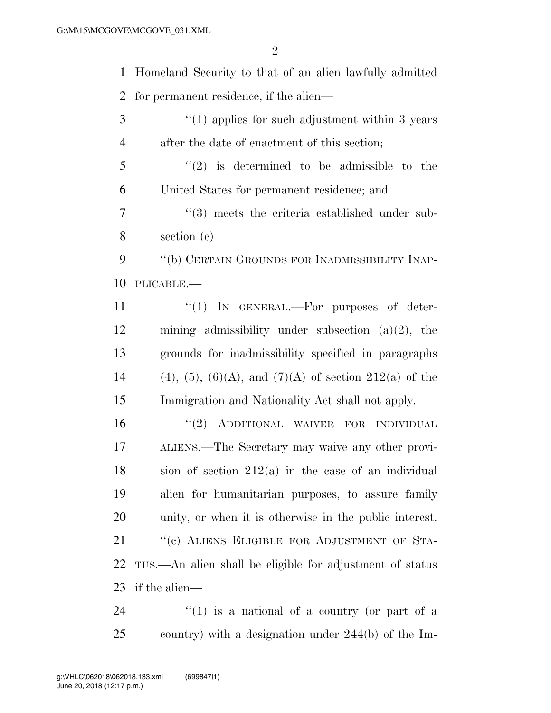Homeland Security to that of an alien lawfully admitted for permanent residence, if the alien— 3 <sup>"</sup>(1) applies for such adjustment within 3 years after the date of enactment of this section; ''(2) is determined to be admissible to the

United States for permanent residence; and

7  $\frac{1}{3}$  meets the criteria established under sub-section (c)

 ''(b) CERTAIN GROUNDS FOR INADMISSIBILITY INAP-PLICABLE.—

 $\text{``(1)}$  IN GENERAL.—For purposes of deter- mining admissibility under subsection (a)(2), the grounds for inadmissibility specified in paragraphs 14 (4), (5), (6)(A), and (7)(A) of section 212(a) of the Immigration and Nationality Act shall not apply.

16 "(2) ADDITIONAL WAIVER FOR INDIVIDUAL ALIENS.—The Secretary may waive any other provi- sion of section 212(a) in the case of an individual alien for humanitarian purposes, to assure family unity, or when it is otherwise in the public interest. 21 "(c) ALIENS ELIGIBLE FOR ADJUSTMENT OF STA- TUS.—An alien shall be eligible for adjustment of status if the alien—

24  $\frac{1}{2}$  (1) is a national of a country (or part of a country) with a designation under 244(b) of the Im-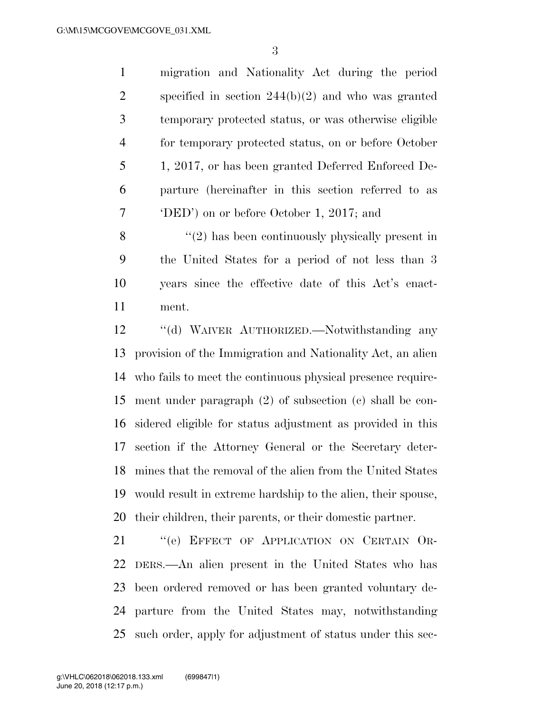migration and Nationality Act during the period specified in section 244(b)(2) and who was granted temporary protected status, or was otherwise eligible for temporary protected status, on or before October 1, 2017, or has been granted Deferred Enforced De- parture (hereinafter in this section referred to as 'DED') on or before October 1, 2017; and

 ''(2) has been continuously physically present in the United States for a period of not less than 3 years since the effective date of this Act's enact-ment.

 ''(d) WAIVER AUTHORIZED.—Notwithstanding any provision of the Immigration and Nationality Act, an alien who fails to meet the continuous physical presence require- ment under paragraph (2) of subsection (c) shall be con- sidered eligible for status adjustment as provided in this section if the Attorney General or the Secretary deter- mines that the removal of the alien from the United States would result in extreme hardship to the alien, their spouse, their children, their parents, or their domestic partner.

21 "(e) EFFECT OF APPLICATION ON CERTAIN OR- DERS.—An alien present in the United States who has been ordered removed or has been granted voluntary de- parture from the United States may, notwithstanding such order, apply for adjustment of status under this sec-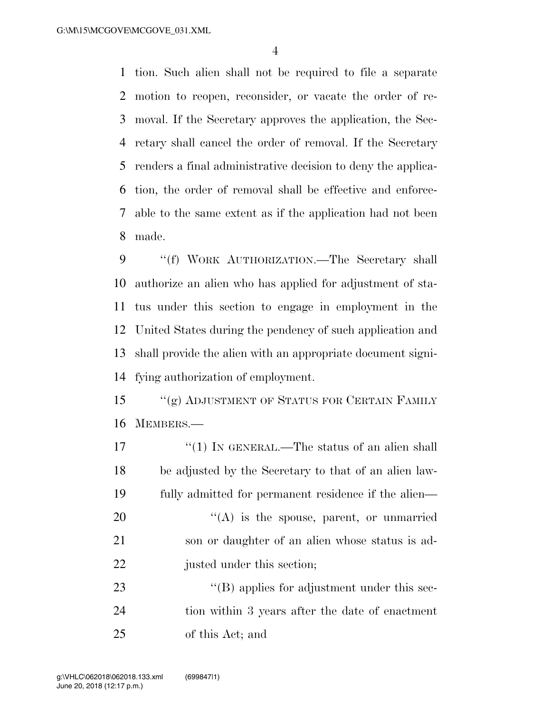tion. Such alien shall not be required to file a separate motion to reopen, reconsider, or vacate the order of re- moval. If the Secretary approves the application, the Sec- retary shall cancel the order of removal. If the Secretary renders a final administrative decision to deny the applica- tion, the order of removal shall be effective and enforce- able to the same extent as if the application had not been made.

 ''(f) WORK AUTHORIZATION.—The Secretary shall authorize an alien who has applied for adjustment of sta- tus under this section to engage in employment in the United States during the pendency of such application and shall provide the alien with an appropriate document signi-fying authorization of employment.

15 "(g) ADJUSTMENT OF STATUS FOR CERTAIN FAMILY MEMBERS.—

17 ''(1) IN GENERAL.—The status of an alien shall be adjusted by the Secretary to that of an alien law-fully admitted for permanent residence if the alien—

 "(A) is the spouse, parent, or unmarried son or daughter of an alien whose status is ad-22 justed under this section;

23  $\langle (B)$  applies for adjustment under this sec- tion within 3 years after the date of enactment of this Act; and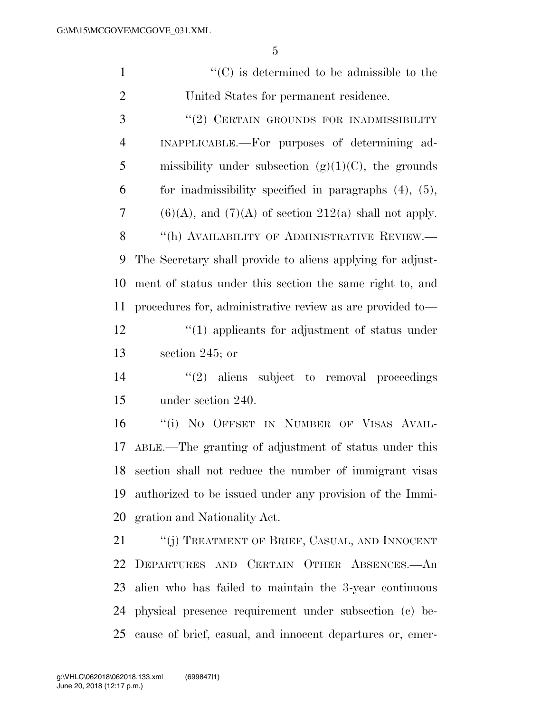| $\mathbf{1}$   | $\lq\lq$ <sup>c</sup> (C) is determined to be admissible to the |
|----------------|-----------------------------------------------------------------|
| $\overline{2}$ | United States for permanent residence.                          |
| 3              | "(2) CERTAIN GROUNDS FOR INADMISSIBILITY                        |
| $\overline{4}$ | INAPPLICABLE.—For purposes of determining ad-                   |
| 5              | missibility under subsection $(g)(1)(C)$ , the grounds          |
| 6              | for inadmissibility specified in paragraphs $(4)$ , $(5)$ ,     |
| 7              | $(6)(A)$ , and $(7)(A)$ of section 212(a) shall not apply.      |
| 8              | "(h) AVAILABILITY OF ADMINISTRATIVE REVIEW.—                    |
| 9              | The Secretary shall provide to aliens applying for adjust-      |
| 10             | ment of status under this section the same right to, and        |
| 11             | procedures for, administrative review as are provided to—       |
| 12             | $\cdot$ (1) applicants for adjustment of status under           |
| 13             | section 245; or                                                 |
| 14             | $\lq(2)$ aliens subject to removal proceedings                  |
| 15             | under section 240.                                              |
| 16             | "(i) NO OFFSET IN NUMBER OF VISAS AVAIL-                        |
| 17             | ABLE.—The granting of adjustment of status under this           |
|                | 18 section shall not reduce the number of immigrant visas       |
| 19             | authorized to be issued under any provision of the Immi-        |
| 20             | gration and Nationality Act.                                    |
| 21             | "(j) TREATMENT OF BRIEF, CASUAL, AND INNOCENT                   |
| 22             | DEPARTURES AND CERTAIN OTHER ABSENCES.- An                      |
|                | 23 alien who has failed to maintain the 3-year continuous       |
| 24             | physical presence requirement under subsection (c) be-          |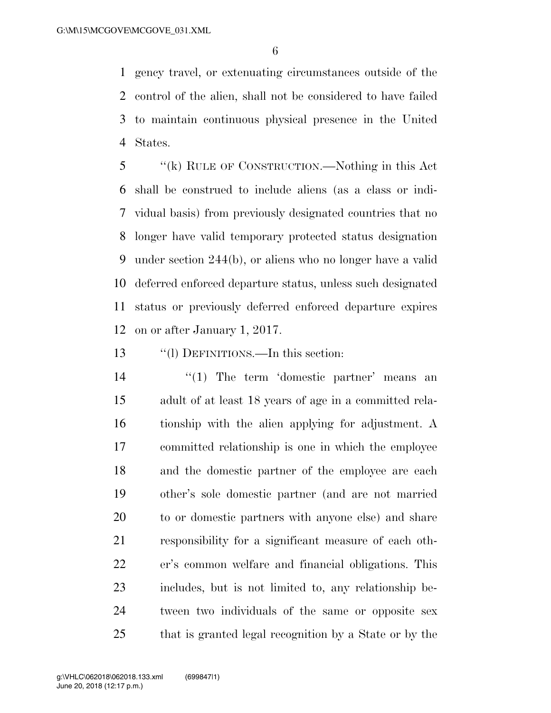gency travel, or extenuating circumstances outside of the control of the alien, shall not be considered to have failed to maintain continuous physical presence in the United States.

 ''(k) RULE OF CONSTRUCTION.—Nothing in this Act shall be construed to include aliens (as a class or indi- vidual basis) from previously designated countries that no longer have valid temporary protected status designation under section 244(b), or aliens who no longer have a valid deferred enforced departure status, unless such designated status or previously deferred enforced departure expires on or after January 1, 2017.

''(l) DEFINITIONS.—In this section:

14 ''(1) The term 'domestic partner' means an adult of at least 18 years of age in a committed rela- tionship with the alien applying for adjustment. A committed relationship is one in which the employee and the domestic partner of the employee are each other's sole domestic partner (and are not married to or domestic partners with anyone else) and share responsibility for a significant measure of each oth- er's common welfare and financial obligations. This includes, but is not limited to, any relationship be- tween two individuals of the same or opposite sex that is granted legal recognition by a State or by the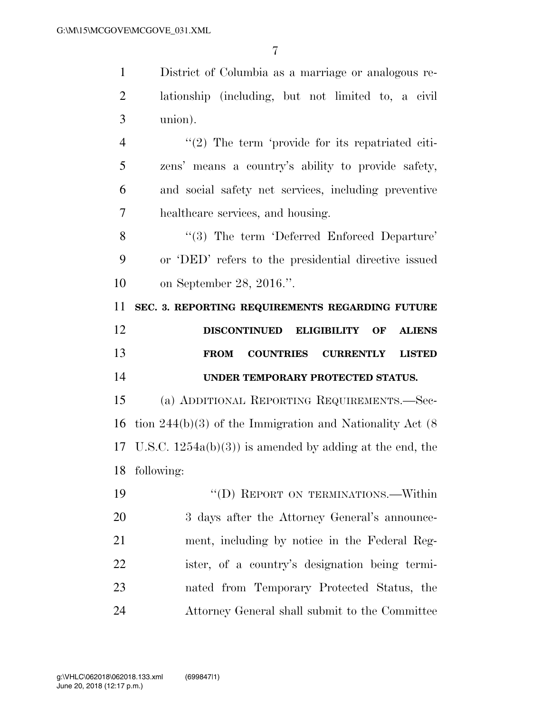District of Columbia as a marriage or analogous re- lationship (including, but not limited to, a civil union). 4 "(2) The term 'provide for its repatriated citi-

 zens' means a country's ability to provide safety, and social safety net services, including preventive healthcare services, and housing.

8 "(3) The term 'Deferred Enforced Departure' or 'DED' refers to the presidential directive issued on September 28, 2016.''.

**SEC. 3. REPORTING REQUIREMENTS REGARDING FUTURE** 

| 12 |  | DISCONTINUED ELIGIBILITY OF ALIENS |  |
|----|--|------------------------------------|--|
| 13 |  | FROM COUNTRIES CURRENTLY LISTED    |  |
| 14 |  | UNDER TEMPORARY PROTECTED STATUS.  |  |

 (a) ADDITIONAL REPORTING REQUIREMENTS.—Sec- tion 244(b)(3) of the Immigration and Nationality Act (8 U.S.C. 1254a(b)(3)) is amended by adding at the end, the following:

19 "'(D) REPORT ON TERMINATIONS.—Within 20 3 days after the Attorney General's announce- ment, including by notice in the Federal Reg- ister, of a country's designation being termi- nated from Temporary Protected Status, the Attorney General shall submit to the Committee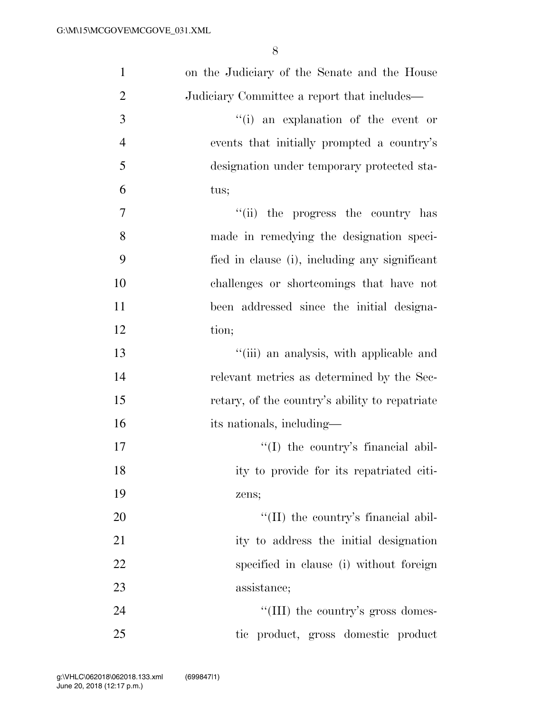| $\mathbf{1}$   | on the Judiciary of the Senate and the House   |
|----------------|------------------------------------------------|
| $\overline{2}$ | Judiciary Committee a report that includes—    |
| 3              | "(i) an explanation of the event or            |
| $\overline{4}$ | events that initially prompted a country's     |
| 5              | designation under temporary protected sta-     |
| 6              | tus;                                           |
| 7              | "(ii) the progress the country has             |
| 8              | made in remedying the designation speci-       |
| 9              | fied in clause (i), including any significant  |
| 10             | challenges or shortcomings that have not       |
| 11             | been addressed since the initial designa-      |
| 12             | tion;                                          |
| 13             | "(iii) an analysis, with applicable and        |
| 14             | relevant metrics as determined by the Sec-     |
| 15             | retary, of the country's ability to repatriate |
| 16             | its nationals, including—                      |
| 17             | $\lq\lq$ (I) the country's financial abil-     |
| 18             | ity to provide for its repatriated citi-       |
| 19             | zens;                                          |
| 20             | "(II) the country's financial abil-            |
| 21             | ity to address the initial designation         |
| 22             | specified in clause (i) without foreign        |
| 23             | assistance;                                    |
| 24             | "(III) the country's gross domes-              |
| 25             | tic product, gross domestic product            |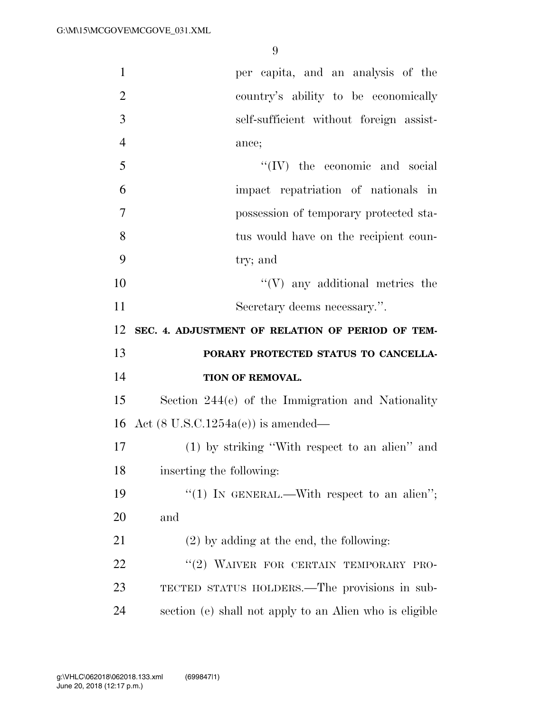| $\mathbf{1}$   | per capita, and an analysis of the                  |
|----------------|-----------------------------------------------------|
| $\overline{2}$ | country's ability to be economically                |
| 3              | self-sufficient without foreign assist-             |
| $\overline{4}$ | ance;                                               |
| 5              | $\lq\lq$ (IV) the economic and social               |
| 6              | impact repatriation of nationals in                 |
| $\tau$         | possession of temporary protected sta-              |
| 8              | tus would have on the recipient coun-               |
| 9              | try; and                                            |
| 10             | $\lq\lq(V)$ any additional metrics the              |
| 11             | Secretary deems necessary.".                        |
| 12             | SEC. 4. ADJUSTMENT OF RELATION OF PERIOD OF TEM-    |
|                |                                                     |
| 13             | PORARY PROTECTED STATUS TO CANCELLA-                |
| 14             | TION OF REMOVAL.                                    |
| 15             | Section $244(e)$ of the Immigration and Nationality |
| 16             | Act $(8 \text{ U.S.C.1254a(e)})$ is amended—        |
| 17             | (1) by striking "With respect to an alien" and      |
| 18             | inserting the following:                            |
| 19             | "(1) IN GENERAL.—With respect to an alien";         |
| 20             | and                                                 |
| 21             | $(2)$ by adding at the end, the following:          |
| 22             | "(2) WAIVER FOR CERTAIN TEMPORARY PRO-              |
| 23             | TECTED STATUS HOLDERS.—The provisions in sub-       |